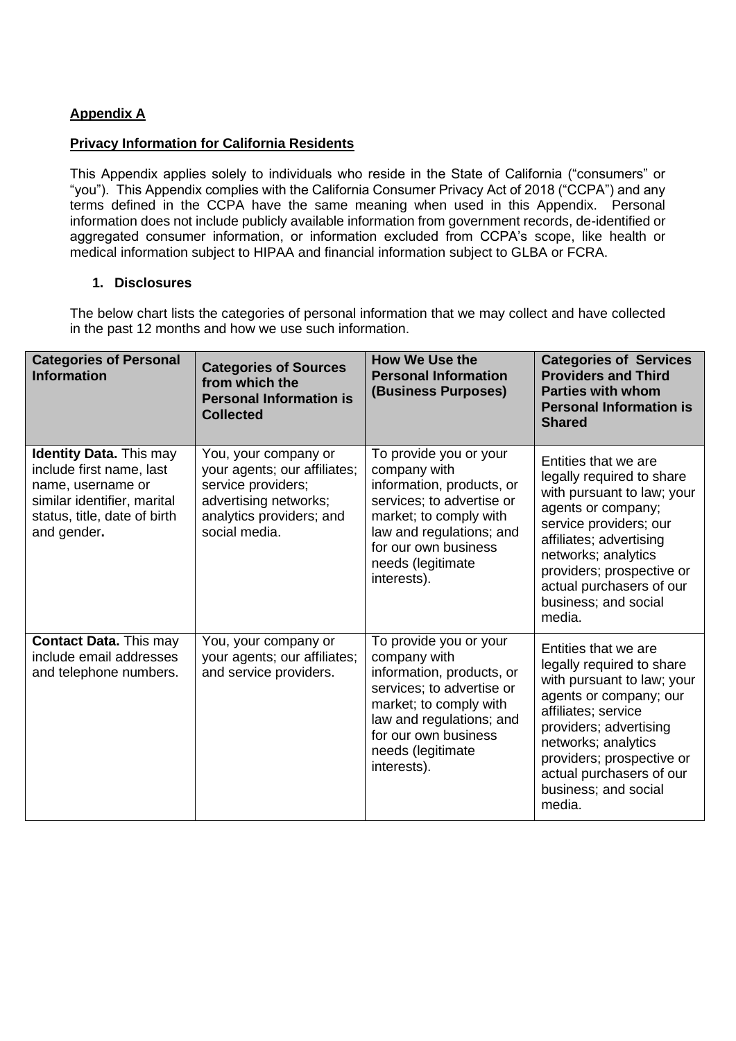# **Appendix A**

### **Privacy Information for California Residents**

This Appendix applies solely to individuals who reside in the State of California ("consumers" or "you"). This Appendix complies with the California Consumer Privacy Act of 2018 ("CCPA") and any terms defined in the CCPA have the same meaning when used in this Appendix. Personal information does not include publicly available information from government records, de-identified or aggregated consumer information, or information excluded from CCPA's scope, like health or medical information subject to HIPAA and financial information subject to GLBA or FCRA.

#### **1. Disclosures**

The below chart lists the categories of personal information that we may collect and have collected in the past 12 months and how we use such information.

| <b>Categories of Personal</b><br><b>Information</b>                                                                                                           | <b>Categories of Sources</b><br>from which the<br><b>Personal Information is</b><br><b>Collected</b>                                             | <b>How We Use the</b><br><b>Personal Information</b><br>(Business Purposes)                                                                                                                                        | <b>Categories of Services</b><br><b>Providers and Third</b><br><b>Parties with whom</b><br><b>Personal Information is</b><br><b>Shared</b>                                                                                                                                   |
|---------------------------------------------------------------------------------------------------------------------------------------------------------------|--------------------------------------------------------------------------------------------------------------------------------------------------|--------------------------------------------------------------------------------------------------------------------------------------------------------------------------------------------------------------------|------------------------------------------------------------------------------------------------------------------------------------------------------------------------------------------------------------------------------------------------------------------------------|
| <b>Identity Data.</b> This may<br>include first name, last<br>name, username or<br>similar identifier, marital<br>status, title, date of birth<br>and gender. | You, your company or<br>your agents; our affiliates;<br>service providers;<br>advertising networks;<br>analytics providers; and<br>social media. | To provide you or your<br>company with<br>information, products, or<br>services; to advertise or<br>market; to comply with<br>law and regulations; and<br>for our own business<br>needs (legitimate<br>interests). | Entities that we are<br>legally required to share<br>with pursuant to law; your<br>agents or company;<br>service providers; our<br>affiliates; advertising<br>networks; analytics<br>providers; prospective or<br>actual purchasers of our<br>business; and social<br>media. |
| <b>Contact Data.</b> This may<br>include email addresses<br>and telephone numbers.                                                                            | You, your company or<br>your agents; our affiliates;<br>and service providers.                                                                   | To provide you or your<br>company with<br>information, products, or<br>services; to advertise or<br>market; to comply with<br>law and regulations; and<br>for our own business<br>needs (legitimate<br>interests). | Entities that we are<br>legally required to share<br>with pursuant to law; your<br>agents or company; our<br>affiliates; service<br>providers; advertising<br>networks; analytics<br>providers; prospective or<br>actual purchasers of our<br>business; and social<br>media. |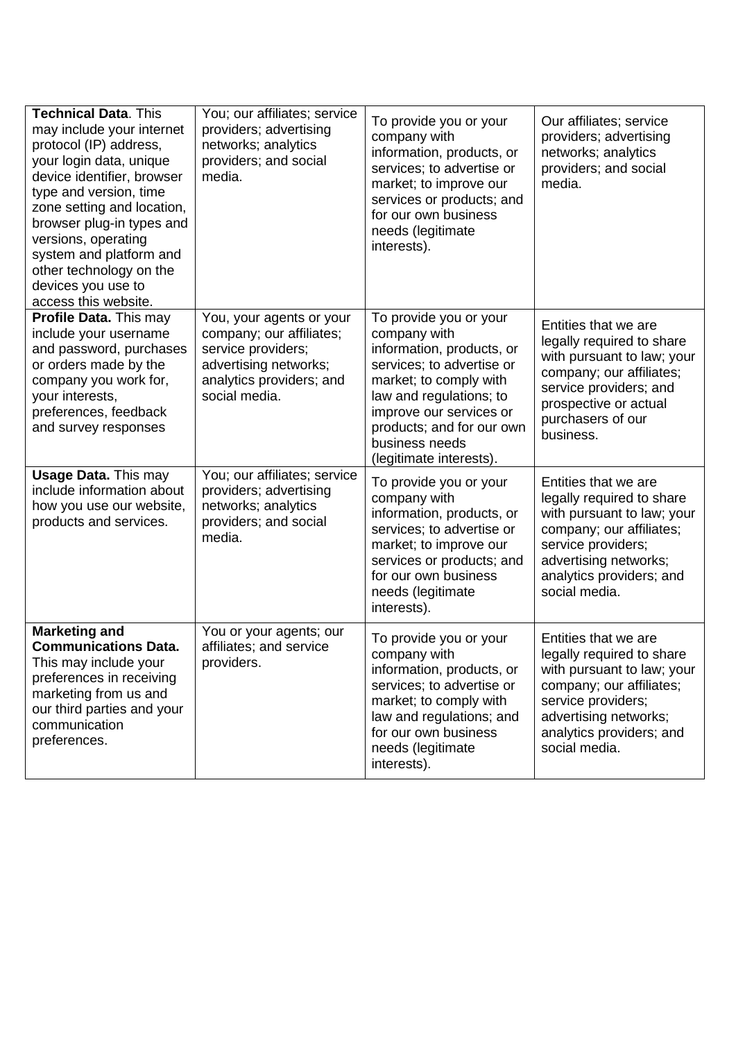| <b>Technical Data. This</b><br>may include your internet<br>protocol (IP) address,<br>your login data, unique<br>device identifier, browser<br>type and version, time<br>zone setting and location,<br>browser plug-in types and<br>versions, operating<br>system and platform and<br>other technology on the<br>devices you use to<br>access this website. | You; our affiliates; service<br>providers; advertising<br>networks; analytics<br>providers; and social<br>media.                                 | To provide you or your<br>company with<br>information, products, or<br>services; to advertise or<br>market; to improve our<br>services or products; and<br>for our own business<br>needs (legitimate<br>interests).                                        | Our affiliates; service<br>providers; advertising<br>networks; analytics<br>providers; and social<br>media.                                                                                             |
|-------------------------------------------------------------------------------------------------------------------------------------------------------------------------------------------------------------------------------------------------------------------------------------------------------------------------------------------------------------|--------------------------------------------------------------------------------------------------------------------------------------------------|------------------------------------------------------------------------------------------------------------------------------------------------------------------------------------------------------------------------------------------------------------|---------------------------------------------------------------------------------------------------------------------------------------------------------------------------------------------------------|
| Profile Data. This may<br>include your username<br>and password, purchases<br>or orders made by the<br>company you work for,<br>your interests,<br>preferences, feedback<br>and survey responses                                                                                                                                                            | You, your agents or your<br>company; our affiliates;<br>service providers;<br>advertising networks;<br>analytics providers; and<br>social media. | To provide you or your<br>company with<br>information, products, or<br>services; to advertise or<br>market; to comply with<br>law and regulations; to<br>improve our services or<br>products; and for our own<br>business needs<br>(legitimate interests). | Entities that we are<br>legally required to share<br>with pursuant to law; your<br>company; our affiliates;<br>service providers; and<br>prospective or actual<br>purchasers of our<br>business.        |
| <b>Usage Data. This may</b><br>include information about<br>how you use our website,<br>products and services.                                                                                                                                                                                                                                              | You; our affiliates; service<br>providers; advertising<br>networks; analytics<br>providers; and social<br>media.                                 | To provide you or your<br>company with<br>information, products, or<br>services; to advertise or<br>market; to improve our<br>services or products; and<br>for our own business<br>needs (legitimate<br>interests).                                        | Entities that we are<br>legally required to share<br>with pursuant to law; your<br>company; our affiliates;<br>service providers;<br>advertising networks;<br>analytics providers; and<br>social media. |
| <b>Marketing and</b><br><b>Communications Data.</b><br>This may include your<br>preferences in receiving<br>marketing from us and<br>our third parties and your<br>communication<br>preferences.                                                                                                                                                            | You or your agents; our<br>affiliates; and service<br>providers.                                                                                 | To provide you or your<br>company with<br>information, products, or<br>services; to advertise or<br>market; to comply with<br>law and regulations; and<br>for our own business<br>needs (legitimate<br>interests).                                         | Entities that we are<br>legally required to share<br>with pursuant to law; your<br>company; our affiliates;<br>service providers;<br>advertising networks;<br>analytics providers; and<br>social media. |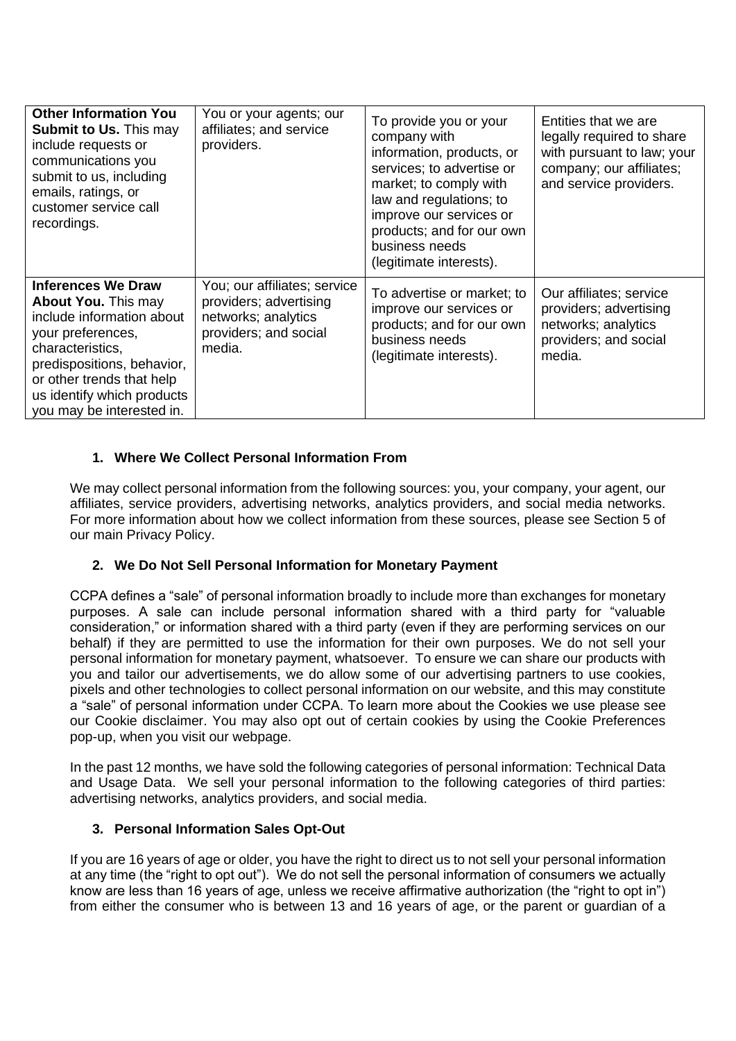| <b>Other Information You</b><br><b>Submit to Us. This may</b><br>include requests or<br>communications you<br>submit to us, including<br>emails, ratings, or<br>customer service call<br>recordings.                                                | You or your agents; our<br>affiliates; and service<br>providers.                                                 | To provide you or your<br>company with<br>information, products, or<br>services; to advertise or<br>market; to comply with<br>law and regulations; to<br>improve our services or<br>products; and for our own<br>business needs<br>(legitimate interests). | Entities that we are<br>legally required to share<br>with pursuant to law; your<br>company; our affiliates;<br>and service providers. |
|-----------------------------------------------------------------------------------------------------------------------------------------------------------------------------------------------------------------------------------------------------|------------------------------------------------------------------------------------------------------------------|------------------------------------------------------------------------------------------------------------------------------------------------------------------------------------------------------------------------------------------------------------|---------------------------------------------------------------------------------------------------------------------------------------|
| <b>Inferences We Draw</b><br><b>About You. This may</b><br>include information about<br>your preferences,<br>characteristics,<br>predispositions, behavior,<br>or other trends that help<br>us identify which products<br>you may be interested in. | You; our affiliates; service<br>providers; advertising<br>networks; analytics<br>providers; and social<br>media. | To advertise or market; to<br>improve our services or<br>products; and for our own<br>business needs<br>(legitimate interests).                                                                                                                            | Our affiliates; service<br>providers; advertising<br>networks; analytics<br>providers; and social<br>media.                           |

## **1. Where We Collect Personal Information From**

We may collect personal information from the following sources: you, your company, your agent, our affiliates, service providers, advertising networks, analytics providers, and social media networks. For more information about how we collect information from these sources, please see Section 5 of our main Privacy Policy.

### **2. We Do Not Sell Personal Information for Monetary Payment**

CCPA defines a "sale" of personal information broadly to include more than exchanges for monetary purposes. A sale can include personal information shared with a third party for "valuable consideration," or information shared with a third party (even if they are performing services on our behalf) if they are permitted to use the information for their own purposes. We do not sell your personal information for monetary payment, whatsoever. To ensure we can share our products with you and tailor our advertisements, we do allow some of our advertising partners to use cookies, pixels and other technologies to collect personal information on our website, and this may constitute a "sale" of personal information under CCPA. To learn more about the Cookies we use please see our Cookie disclaimer. You may also opt out of certain cookies by using the Cookie Preferences pop-up, when you visit our webpage.

In the past 12 months, we have sold the following categories of personal information: Technical Data and Usage Data. We sell your personal information to the following categories of third parties: advertising networks, analytics providers, and social media.

### **3. Personal Information Sales Opt-Out**

If you are 16 years of age or older, you have the right to direct us to not sell your personal information at any time (the "right to opt out"). We do not sell the personal information of consumers we actually know are less than 16 years of age, unless we receive affirmative authorization (the "right to opt in") from either the consumer who is between 13 and 16 years of age, or the parent or guardian of a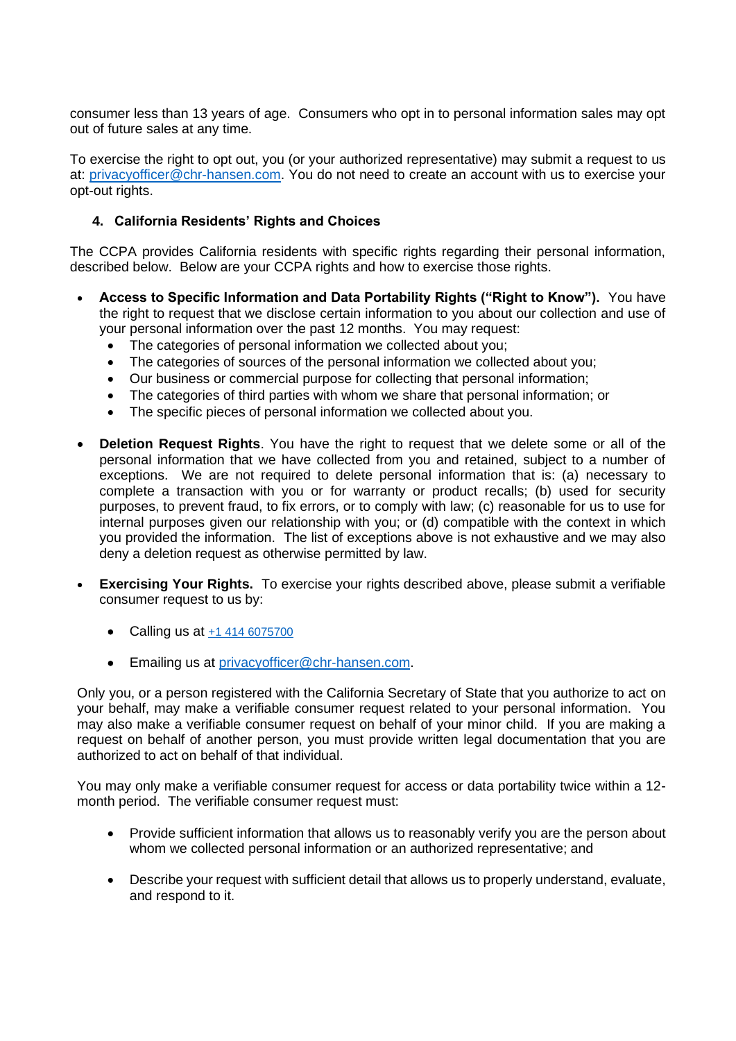consumer less than 13 years of age. Consumers who opt in to personal information sales may opt out of future sales at any time.

To exercise the right to opt out, you (or your authorized representative) may submit a request to us at: [privacyofficer@chr-hansen.com.](mailto:privacyofficer@chr-hansen.com) You do not need to create an account with us to exercise your opt-out rights.

### **4. California Residents' Rights and Choices**

The CCPA provides California residents with specific rights regarding their personal information, described below. Below are your CCPA rights and how to exercise those rights.

- **Access to Specific Information and Data Portability Rights ("Right to Know").** You have the right to request that we disclose certain information to you about our collection and use of your personal information over the past 12 months. You may request:
	- The categories of personal information we collected about you;
	- The categories of sources of the personal information we collected about you;
	- Our business or commercial purpose for collecting that personal information;
	- The categories of third parties with whom we share that personal information; or
	- The specific pieces of personal information we collected about you.
- **Deletion Request Rights**. You have the right to request that we delete some or all of the personal information that we have collected from you and retained, subject to a number of exceptions. We are not required to delete personal information that is: (a) necessary to complete a transaction with you or for warranty or product recalls; (b) used for security purposes, to prevent fraud, to fix errors, or to comply with law; (c) reasonable for us to use for internal purposes given our relationship with you; or (d) compatible with the context in which you provided the information. The list of exceptions above is not exhaustive and we may also deny a deletion request as otherwise permitted by law.
- **Exercising Your Rights.** To exercise your rights described above, please submit a verifiable consumer request to us by:
	- Calling us at  $+1$  414 6075700
	- Emailing us at [privacyofficer@chr-hansen.com.](mailto:privacyofficer@chr-hansen.com)

Only you, or a person registered with the California Secretary of State that you authorize to act on your behalf, may make a verifiable consumer request related to your personal information. You may also make a verifiable consumer request on behalf of your minor child. If you are making a request on behalf of another person, you must provide written legal documentation that you are authorized to act on behalf of that individual.

You may only make a verifiable consumer request for access or data portability twice within a 12 month period. The verifiable consumer request must:

- Provide sufficient information that allows us to reasonably verify you are the person about whom we collected personal information or an authorized representative; and
- Describe your request with sufficient detail that allows us to properly understand, evaluate, and respond to it.